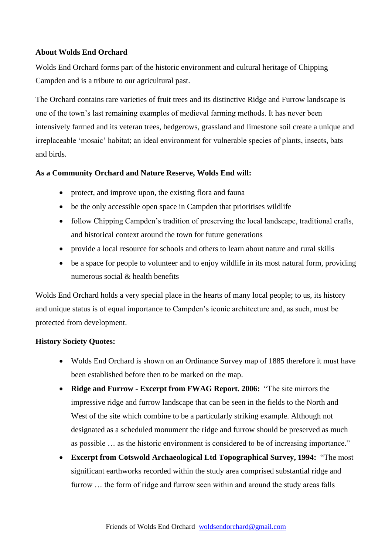# **About Wolds End Orchard**

Wolds End Orchard forms part of the historic environment and cultural heritage of Chipping Campden and is a tribute to our agricultural past.

The Orchard contains rare varieties of fruit trees and its distinctive Ridge and Furrow landscape is one of the town's last remaining examples of medieval farming methods. It has never been intensively farmed and its veteran trees, hedgerows, grassland and limestone soil create a unique and irreplaceable 'mosaic' habitat; an ideal environment for vulnerable species of plants, insects, bats and birds.

#### **As a Community Orchard and Nature Reserve, Wolds End will:**

- protect, and improve upon, the existing flora and fauna
- be the only accessible open space in Campden that prioritises wildlife
- follow Chipping Campden's tradition of preserving the local landscape, traditional crafts, and historical context around the town for future generations
- provide a local resource for schools and others to learn about nature and rural skills
- be a space for people to volunteer and to enjoy wildlife in its most natural form, providing numerous social & health benefits

Wolds End Orchard holds a very special place in the hearts of many local people; to us, its history and unique status is of equal importance to Campden's iconic architecture and, as such, must be protected from development.

#### **History Society Quotes:**

- Wolds End Orchard is shown on an Ordinance Survey map of 1885 therefore it must have been established before then to be marked on the map.
- **Ridge and Furrow - Excerpt from FWAG Report. 2006:** "The site mirrors the impressive ridge and furrow landscape that can be seen in the fields to the North and West of the site which combine to be a particularly striking example. Although not designated as a scheduled monument the ridge and furrow should be preserved as much as possible … as the historic environment is considered to be of increasing importance."
- **Excerpt from Cotswold Archaeological Ltd Topographical Survey, 1994:** "The most significant earthworks recorded within the study area comprised substantial ridge and furrow … the form of ridge and furrow seen within and around the study areas falls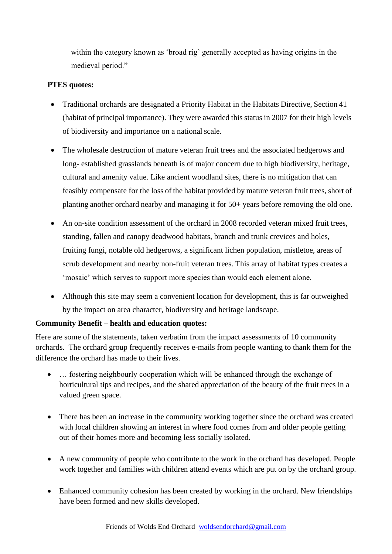within the category known as 'broad rig' generally accepted as having origins in the medieval period."

# **PTES quotes:**

- Traditional orchards are designated a Priority Habitat in the Habitats Directive, Section 41 (habitat of principal importance). They were awarded this status in 2007 for their high levels of biodiversity and importance on a national scale.
- The wholesale destruction of mature veteran fruit trees and the associated hedgerows and long- established grasslands beneath is of major concern due to high biodiversity, heritage, cultural and amenity value. Like ancient woodland sites, there is no mitigation that can feasibly compensate for the loss of the habitat provided by mature veteran fruit trees, short of planting another orchard nearby and managing it for 50+ years before removing the old one.
- An on-site condition assessment of the orchard in 2008 recorded veteran mixed fruit trees, standing, fallen and canopy deadwood habitats, branch and trunk crevices and holes, fruiting fungi, notable old hedgerows, a significant lichen population, mistletoe, areas of scrub development and nearby non-fruit veteran trees. This array of habitat types creates a 'mosaic' which serves to support more species than would each element alone.
- Although this site may seem a convenient location for development, this is far outweighed by the impact on area character, biodiversity and heritage landscape.

# **Community Benefit – health and education quotes:**

Here are some of the statements, taken verbatim from the impact assessments of 10 community orchards. The orchard group frequently receives e-mails from people wanting to thank them for the difference the orchard has made to their lives.

- ... fostering neighbourly cooperation which will be enhanced through the exchange of horticultural tips and recipes, and the shared appreciation of the beauty of the fruit trees in a valued green space.
- There has been an increase in the community working together since the orchard was created with local children showing an interest in where food comes from and older people getting out of their homes more and becoming less socially isolated.
- A new community of people who contribute to the work in the orchard has developed. People work together and families with children attend events which are put on by the orchard group.
- Enhanced community cohesion has been created by working in the orchard. New friendships have been formed and new skills developed.